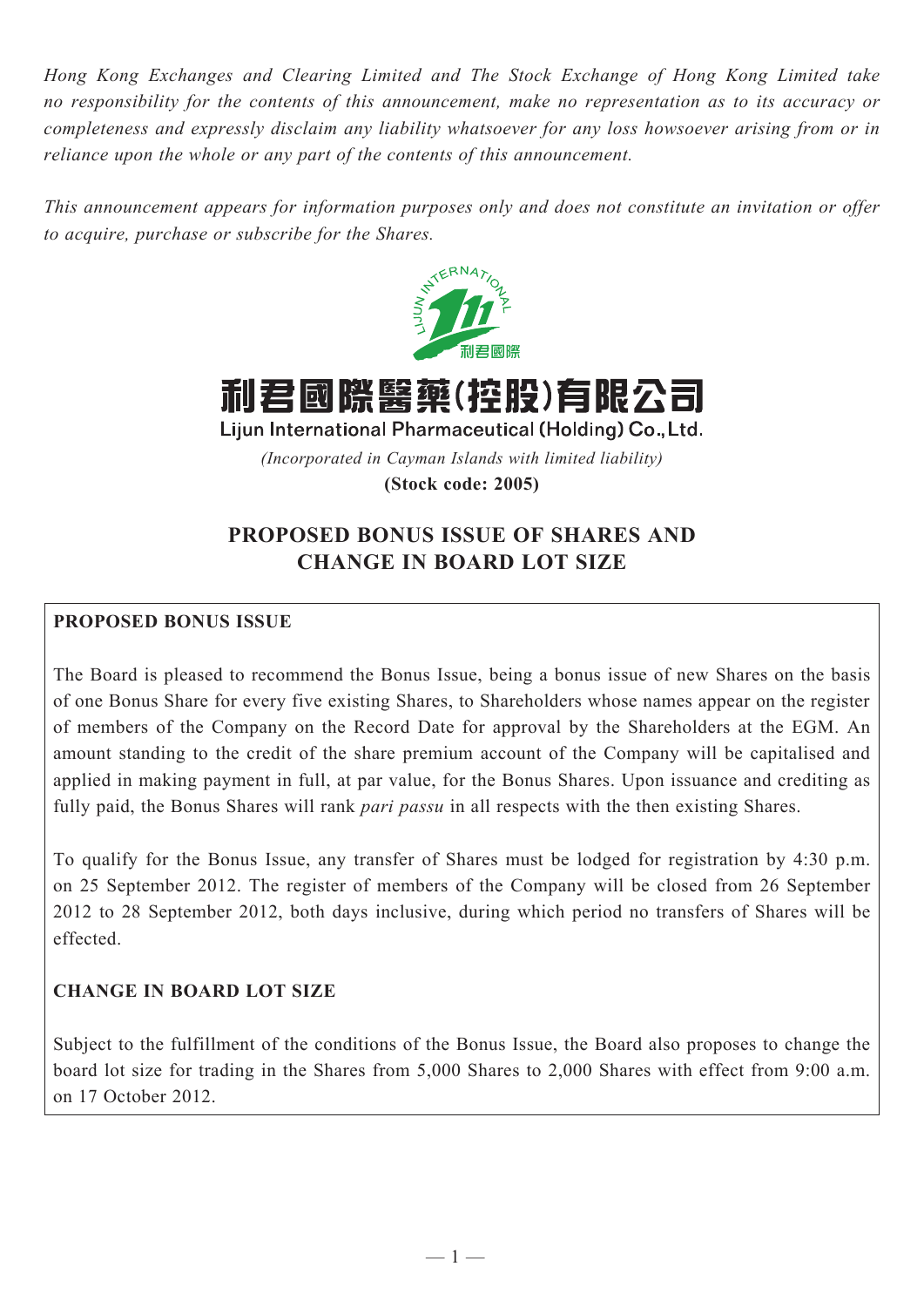*Hong Kong Exchanges and Clearing Limited and The Stock Exchange of Hong Kong Limited take no responsibility for the contents of this announcement, make no representation as to its accuracy or completeness and expressly disclaim any liability whatsoever for any loss howsoever arising from or in reliance upon the whole or any part of the contents of this announcement.*

*This announcement appears for information purposes only and does not constitute an invitation or offer to acquire, purchase or subscribe for the Shares.*





Lijun International Pharmaceutical (Holding) Co., Ltd.

*(Incorporated in Cayman Islands with limited liability)*

**(Stock code: 2005)**

# **PROPOSED BONUS ISSUE OF SHARES AND CHANGE IN BOARD LOT SIZE**

## **PROPOSED BONUS ISSUE**

The Board is pleased to recommend the Bonus Issue, being a bonus issue of new Shares on the basis of one Bonus Share for every five existing Shares, to Shareholders whose names appear on the register of members of the Company on the Record Date for approval by the Shareholders at the EGM. An amount standing to the credit of the share premium account of the Company will be capitalised and applied in making payment in full, at par value, for the Bonus Shares. Upon issuance and crediting as fully paid, the Bonus Shares will rank *pari passu* in all respects with the then existing Shares.

To qualify for the Bonus Issue, any transfer of Shares must be lodged for registration by 4:30 p.m. on 25 September 2012. The register of members of the Company will be closed from 26 September 2012 to 28 September 2012, both days inclusive, during which period no transfers of Shares will be effected.

## **CHANGE IN BOARD LOT SIZE**

Subject to the fulfillment of the conditions of the Bonus Issue, the Board also proposes to change the board lot size for trading in the Shares from 5,000 Shares to 2,000 Shares with effect from 9:00 a.m. on 17 October 2012.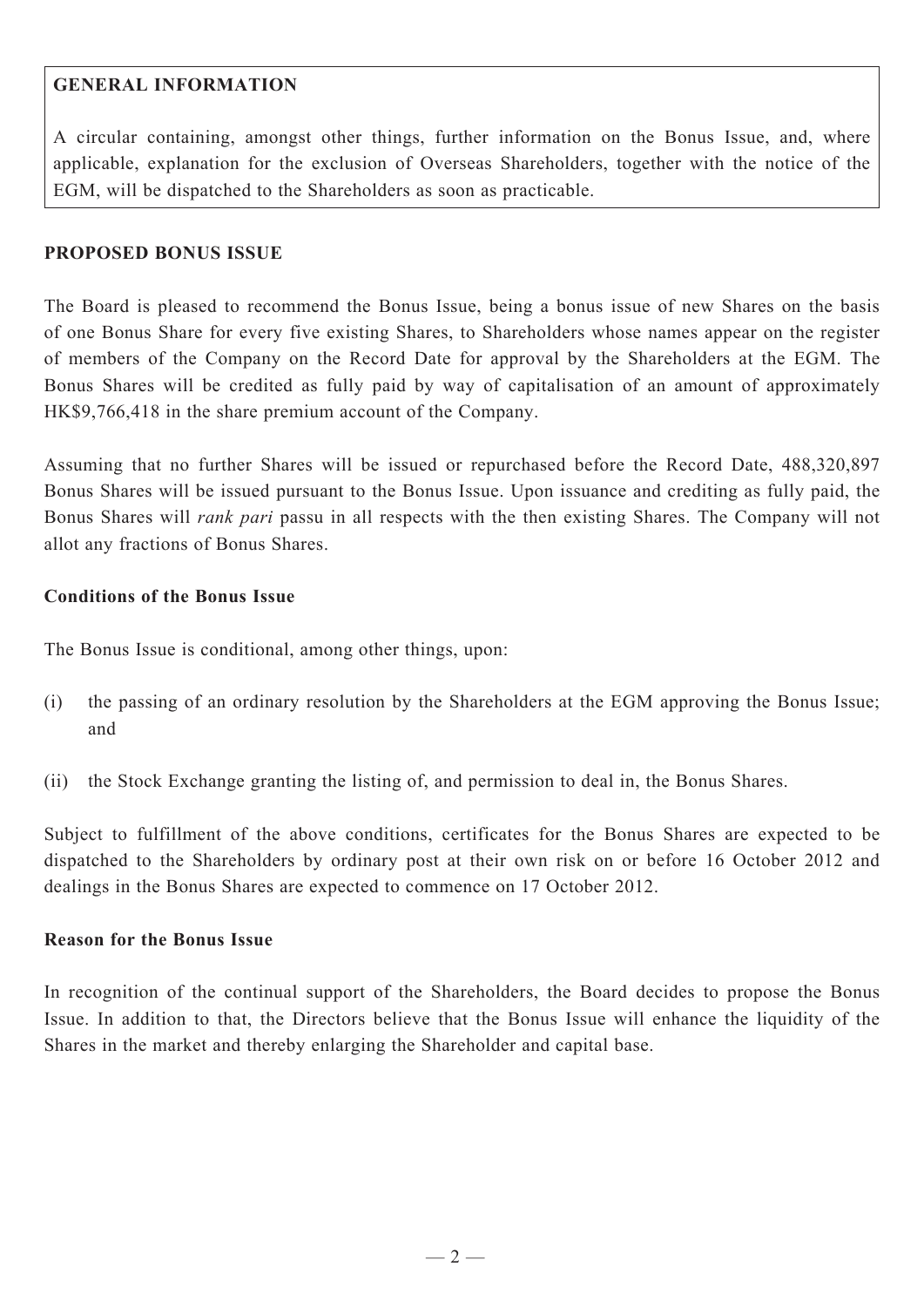## **GENERAL INFORMATION**

A circular containing, amongst other things, further information on the Bonus Issue, and, where applicable, explanation for the exclusion of Overseas Shareholders, together with the notice of the EGM, will be dispatched to the Shareholders as soon as practicable.

#### **PROPOSED BONUS ISSUE**

The Board is pleased to recommend the Bonus Issue, being a bonus issue of new Shares on the basis of one Bonus Share for every five existing Shares, to Shareholders whose names appear on the register of members of the Company on the Record Date for approval by the Shareholders at the EGM. The Bonus Shares will be credited as fully paid by way of capitalisation of an amount of approximately HK\$9,766,418 in the share premium account of the Company.

Assuming that no further Shares will be issued or repurchased before the Record Date, 488,320,897 Bonus Shares will be issued pursuant to the Bonus Issue. Upon issuance and crediting as fully paid, the Bonus Shares will *rank pari* passu in all respects with the then existing Shares. The Company will not allot any fractions of Bonus Shares.

#### **Conditions of the Bonus Issue**

The Bonus Issue is conditional, among other things, upon:

- (i) the passing of an ordinary resolution by the Shareholders at the EGM approving the Bonus Issue; and
- (ii) the Stock Exchange granting the listing of, and permission to deal in, the Bonus Shares.

Subject to fulfillment of the above conditions, certificates for the Bonus Shares are expected to be dispatched to the Shareholders by ordinary post at their own risk on or before 16 October 2012 and dealings in the Bonus Shares are expected to commence on 17 October 2012.

#### **Reason for the Bonus Issue**

In recognition of the continual support of the Shareholders, the Board decides to propose the Bonus Issue. In addition to that, the Directors believe that the Bonus Issue will enhance the liquidity of the Shares in the market and thereby enlarging the Shareholder and capital base.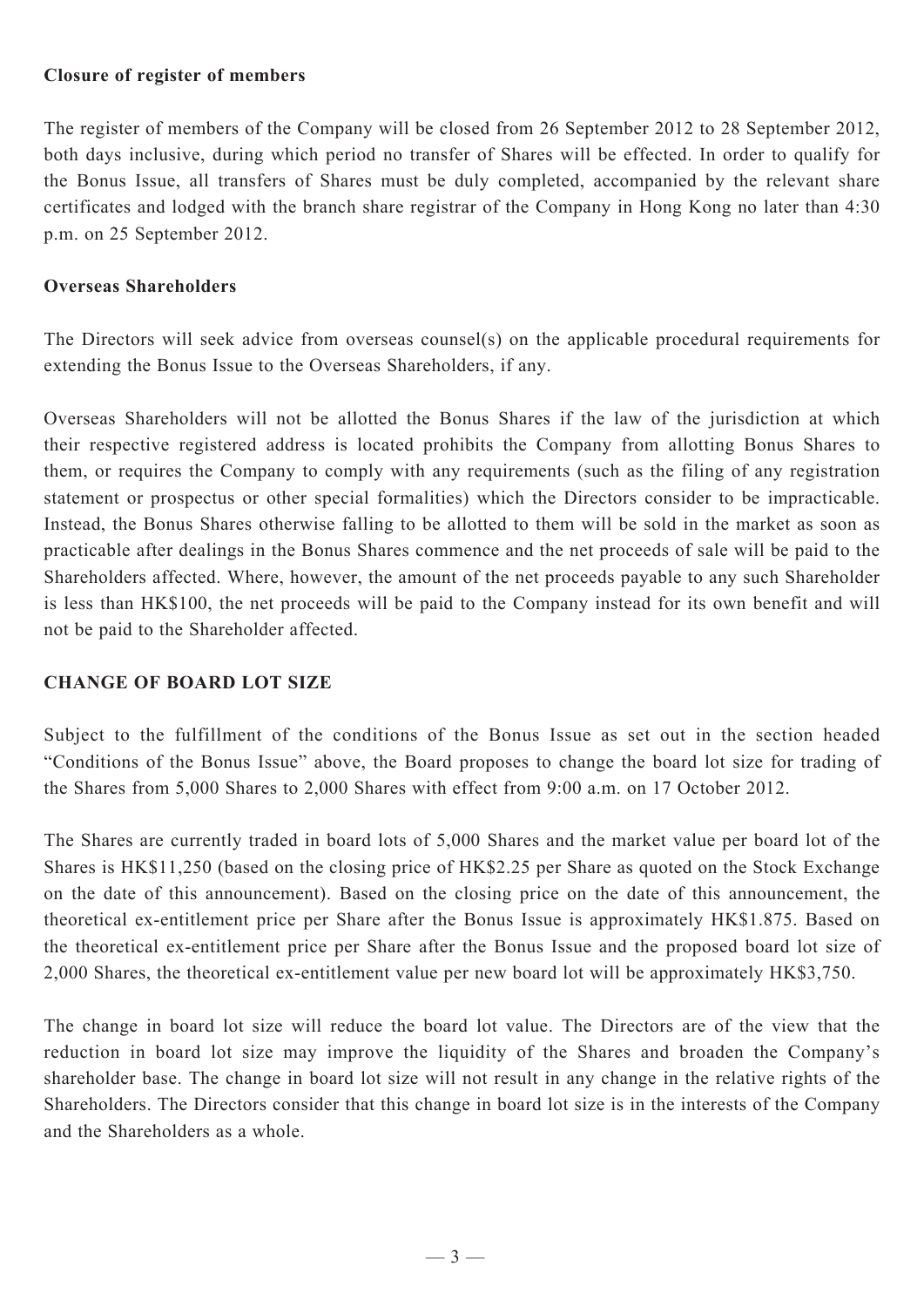#### **Closure of register of members**

The register of members of the Company will be closed from 26 September 2012 to 28 September 2012, both days inclusive, during which period no transfer of Shares will be effected. In order to qualify for the Bonus Issue, all transfers of Shares must be duly completed, accompanied by the relevant share certificates and lodged with the branch share registrar of the Company in Hong Kong no later than 4:30 p.m. on 25 September 2012.

#### **Overseas Shareholders**

The Directors will seek advice from overseas counsel(s) on the applicable procedural requirements for extending the Bonus Issue to the Overseas Shareholders, if any.

Overseas Shareholders will not be allotted the Bonus Shares if the law of the jurisdiction at which their respective registered address is located prohibits the Company from allotting Bonus Shares to them, or requires the Company to comply with any requirements (such as the filing of any registration statement or prospectus or other special formalities) which the Directors consider to be impracticable. Instead, the Bonus Shares otherwise falling to be allotted to them will be sold in the market as soon as practicable after dealings in the Bonus Shares commence and the net proceeds of sale will be paid to the Shareholders affected. Where, however, the amount of the net proceeds payable to any such Shareholder is less than HK\$100, the net proceeds will be paid to the Company instead for its own benefit and will not be paid to the Shareholder affected.

#### **CHANGE OF BOARD LOT SIZE**

Subject to the fulfillment of the conditions of the Bonus Issue as set out in the section headed "Conditions of the Bonus Issue" above, the Board proposes to change the board lot size for trading of the Shares from 5,000 Shares to 2,000 Shares with effect from 9:00 a.m. on 17 October 2012.

The Shares are currently traded in board lots of 5,000 Shares and the market value per board lot of the Shares is HK\$11,250 (based on the closing price of HK\$2.25 per Share as quoted on the Stock Exchange on the date of this announcement). Based on the closing price on the date of this announcement, the theoretical ex-entitlement price per Share after the Bonus Issue is approximately HK\$1.875. Based on the theoretical ex-entitlement price per Share after the Bonus Issue and the proposed board lot size of 2,000 Shares, the theoretical ex-entitlement value per new board lot will be approximately HK\$3,750.

The change in board lot size will reduce the board lot value. The Directors are of the view that the reduction in board lot size may improve the liquidity of the Shares and broaden the Company's shareholder base. The change in board lot size will not result in any change in the relative rights of the Shareholders. The Directors consider that this change in board lot size is in the interests of the Company and the Shareholders as a whole.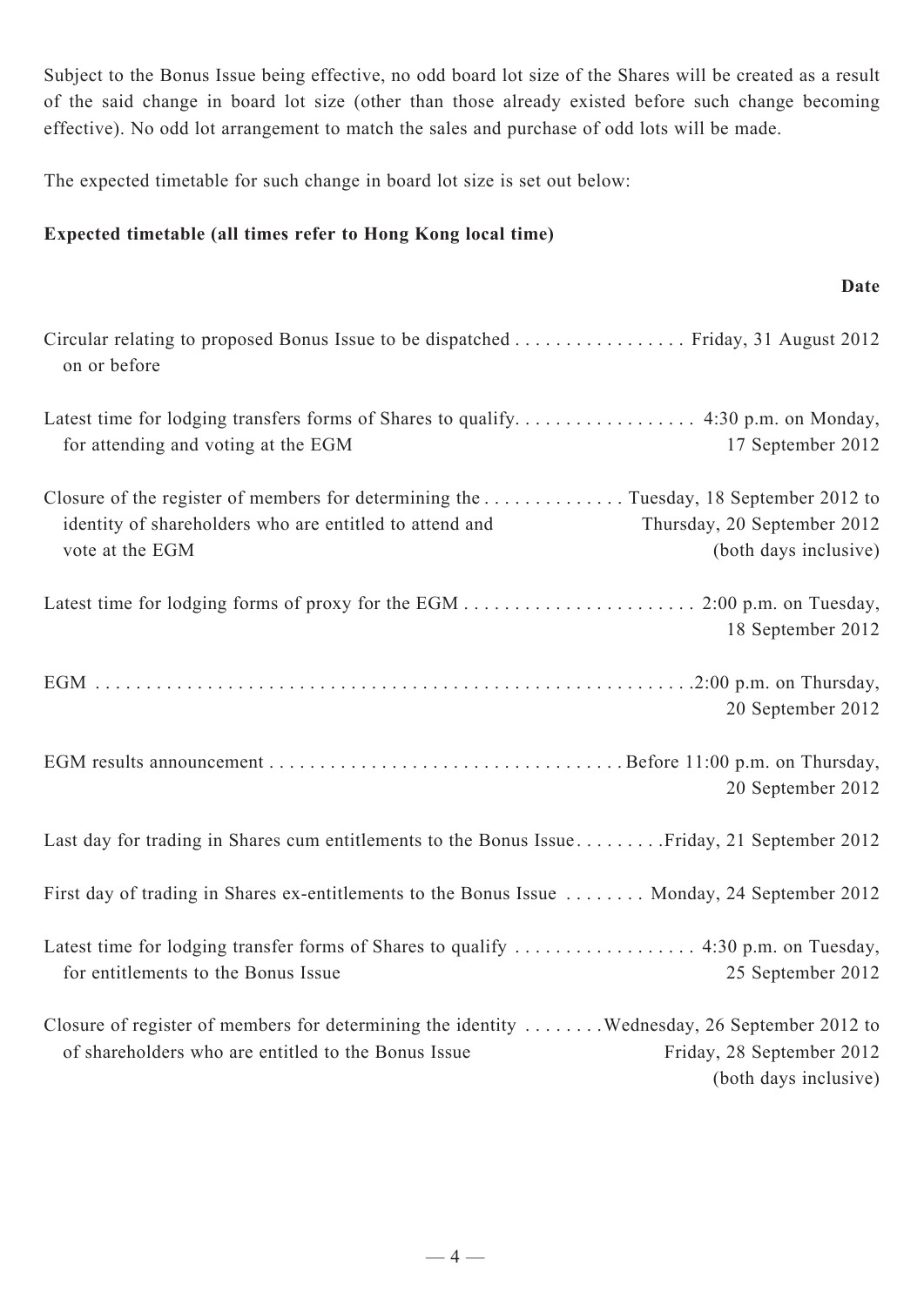Subject to the Bonus Issue being effective, no odd board lot size of the Shares will be created as a result of the said change in board lot size (other than those already existed before such change becoming effective). No odd lot arrangement to match the sales and purchase of odd lots will be made.

**Date**

The expected timetable for such change in board lot size is set out below:

## **Expected timetable (all times refer to Hong Kong local time)**

| Circular relating to proposed Bonus Issue to be dispatched Friday, 31 August 2012<br>on or before                                                                  |                                                      |
|--------------------------------------------------------------------------------------------------------------------------------------------------------------------|------------------------------------------------------|
| for attending and voting at the EGM                                                                                                                                | 17 September 2012                                    |
| Closure of the register of members for determining the Tuesday, 18 September 2012 to<br>identity of shareholders who are entitled to attend and<br>vote at the EGM | Thursday, 20 September 2012<br>(both days inclusive) |
|                                                                                                                                                                    | 18 September 2012                                    |
|                                                                                                                                                                    | 20 September 2012                                    |
|                                                                                                                                                                    | 20 September 2012                                    |
| Last day for trading in Shares cum entitlements to the Bonus IssueFriday, 21 September 2012                                                                        |                                                      |
| First day of trading in Shares ex-entitlements to the Bonus Issue  Monday, 24 September 2012                                                                       |                                                      |
| Latest time for lodging transfer forms of Shares to qualify  4:30 p.m. on Tuesday,<br>for entitlements to the Bonus Issue                                          | 25 September 2012                                    |
| Closure of register of members for determining the identity  Wednesday, 26 September 2012 to<br>of shareholders who are entitled to the Bonus Issue                | Friday, 28 September 2012<br>(both days inclusive)   |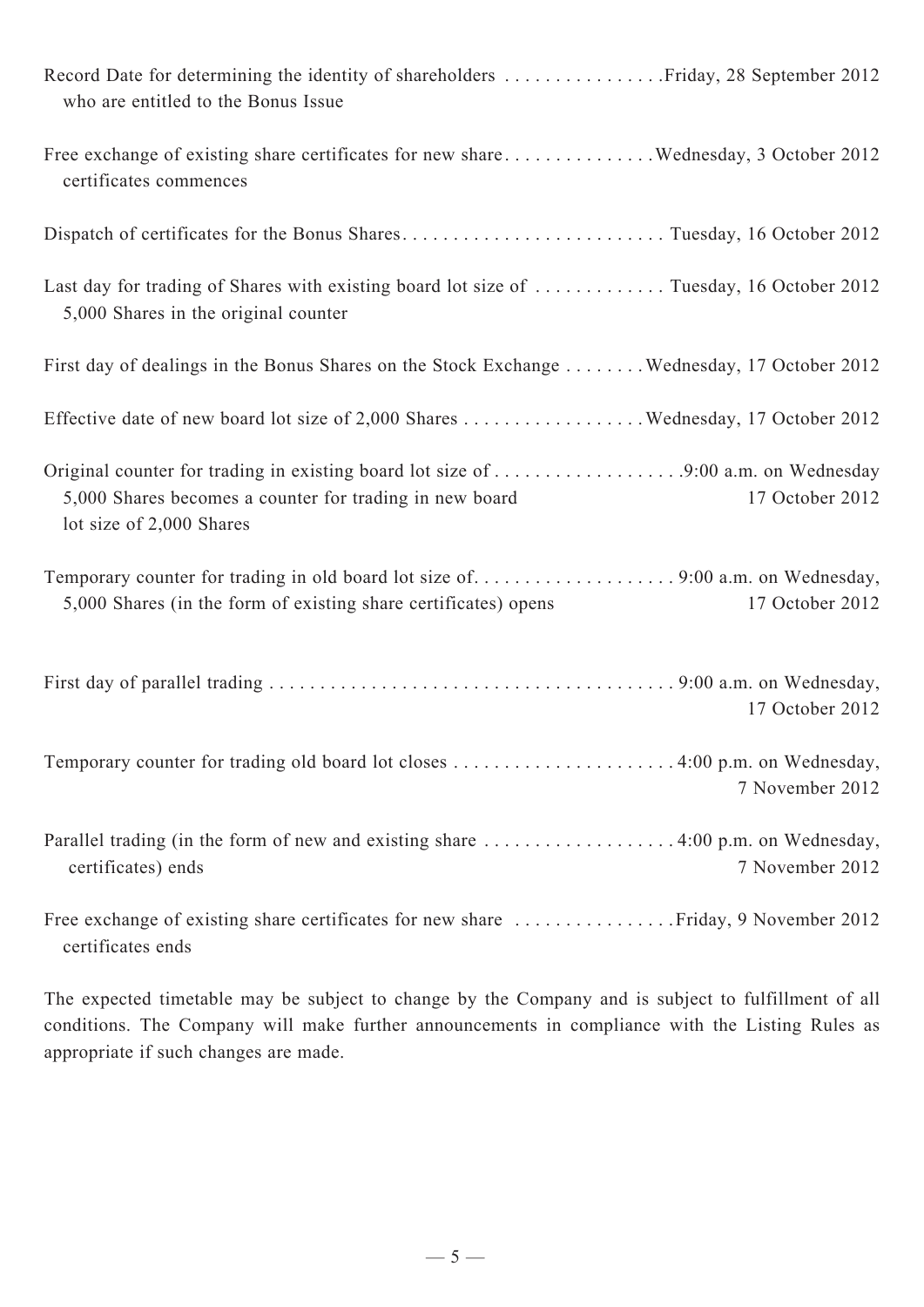| who are entitled to the Bonus Issue                                                                                                                                 |
|---------------------------------------------------------------------------------------------------------------------------------------------------------------------|
| Free exchange of existing share certificates for new share Wednesday, 3 October 2012<br>certificates commences                                                      |
| Dispatch of certificates for the Bonus SharesTuesday, 16 October 2012                                                                                               |
| Last day for trading of Shares with existing board lot size of  Tuesday, 16 October 2012<br>5,000 Shares in the original counter                                    |
| First day of dealings in the Bonus Shares on the Stock Exchange Wednesday, 17 October 2012                                                                          |
| Effective date of new board lot size of 2,000 Shares Wednesday, 17 October 2012                                                                                     |
| 5,000 Shares becomes a counter for trading in new board<br>17 October 2012<br>lot size of 2,000 Shares                                                              |
| Temporary counter for trading in old board lot size of9:00 a.m. on Wednesday,<br>5,000 Shares (in the form of existing share certificates) opens<br>17 October 2012 |
| 17 October 2012                                                                                                                                                     |
| Temporary counter for trading old board lot closes 4:00 p.m. on Wednesday,<br>7 November 2012                                                                       |
| 7 November 2012<br>certificates) ends                                                                                                                               |
| certificates ends                                                                                                                                                   |

The expected timetable may be subject to change by the Company and is subject to fulfillment of all conditions. The Company will make further announcements in compliance with the Listing Rules as appropriate if such changes are made.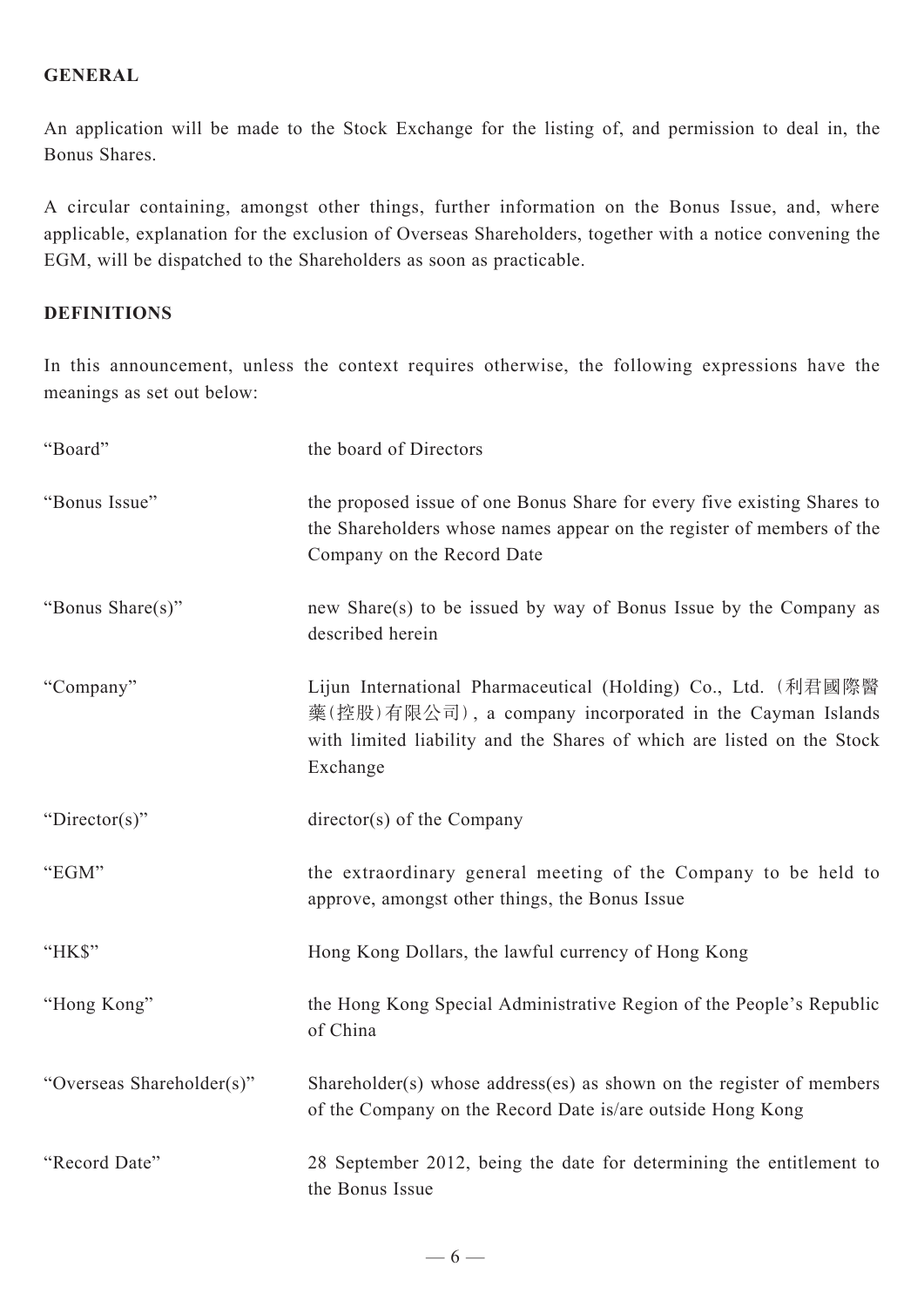## **GENERAL**

An application will be made to the Stock Exchange for the listing of, and permission to deal in, the Bonus Shares.

A circular containing, amongst other things, further information on the Bonus Issue, and, where applicable, explanation for the exclusion of Overseas Shareholders, together with a notice convening the EGM, will be dispatched to the Shareholders as soon as practicable.

### **DEFINITIONS**

In this announcement, unless the context requires otherwise, the following expressions have the meanings as set out below:

| "Board"                   | the board of Directors                                                                                                                                                                                          |
|---------------------------|-----------------------------------------------------------------------------------------------------------------------------------------------------------------------------------------------------------------|
| "Bonus Issue"             | the proposed issue of one Bonus Share for every five existing Shares to<br>the Shareholders whose names appear on the register of members of the<br>Company on the Record Date                                  |
| "Bonus Share(s)"          | new Share(s) to be issued by way of Bonus Issue by the Company as<br>described herein                                                                                                                           |
| "Company"                 | Lijun International Pharmaceutical (Holding) Co., Ltd. (利君國際醫<br>藥(控股)有限公司), a company incorporated in the Cayman Islands<br>with limited liability and the Shares of which are listed on the Stock<br>Exchange |
| "Director(s)"             | $directory(s)$ of the Company                                                                                                                                                                                   |
| "EGM"                     | the extraordinary general meeting of the Company to be held to<br>approve, amongst other things, the Bonus Issue                                                                                                |
| "HK\$"                    | Hong Kong Dollars, the lawful currency of Hong Kong                                                                                                                                                             |
| "Hong Kong"               | the Hong Kong Special Administrative Region of the People's Republic<br>of China                                                                                                                                |
| "Overseas Shareholder(s)" | Shareholder(s) whose address(es) as shown on the register of members<br>of the Company on the Record Date is/are outside Hong Kong                                                                              |
| "Record Date"             | 28 September 2012, being the date for determining the entitlement to<br>the Bonus Issue                                                                                                                         |